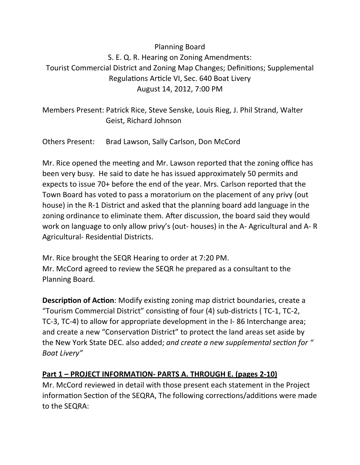# Planning Board S. E. Q. R. Hearing on Zoning Amendments: Tourist Commercial District and Zoning Map Changes; Definitions; Supplemental Regulations Article VI, Sec. 640 Boat Livery August 14, 2012, 7:00 PM

Members Present: Patrick Rice, Steve Senske, Louis Rieg, J. Phil Strand, Walter Geist, Richard Johnson

Others Present: Brad Lawson, Sally Carlson, Don McCord

Mr. Rice opened the meeting and Mr. Lawson reported that the zoning office has been very busy. He said to date he has issued approximately 50 permits and expects to issue 70+ before the end of the year. Mrs. Carlson reported that the Town Board has voted to pass a moratorium on the placement of any privy (out house) in the R-1 District and asked that the planning board add language in the zoning ordinance to eliminate them. After discussion, the board said they would work on language to only allow privy's (out- houses) in the A- Agricultural and A- R Agricultural- Residential Districts.

Mr. Rice brought the SEQR Hearing to order at 7:20 PM. Mr. McCord agreed to review the SEQR he prepared as a consultant to the Planning Board.

**Description of Action:** Modify existing zoning map district boundaries, create a "Tourism Commercial District" consisting of four (4) sub-districts (TC-1, TC-2, TC-3, TC-4) to allow for appropriate development in the I- 86 Interchange area; and create a new "Conservation District" to protect the land areas set aside by the New York State DEC. also added; and create a new supplemental section for " *Boat Livery"* 

## **Part 1 – PROJECT INFORMATION- PARTS A. THROUGH E. (pages 2-10)**

Mr. McCord reviewed in detail with those present each statement in the Project information Section of the SEQRA, The following corrections/additions were made to the SEQRA: